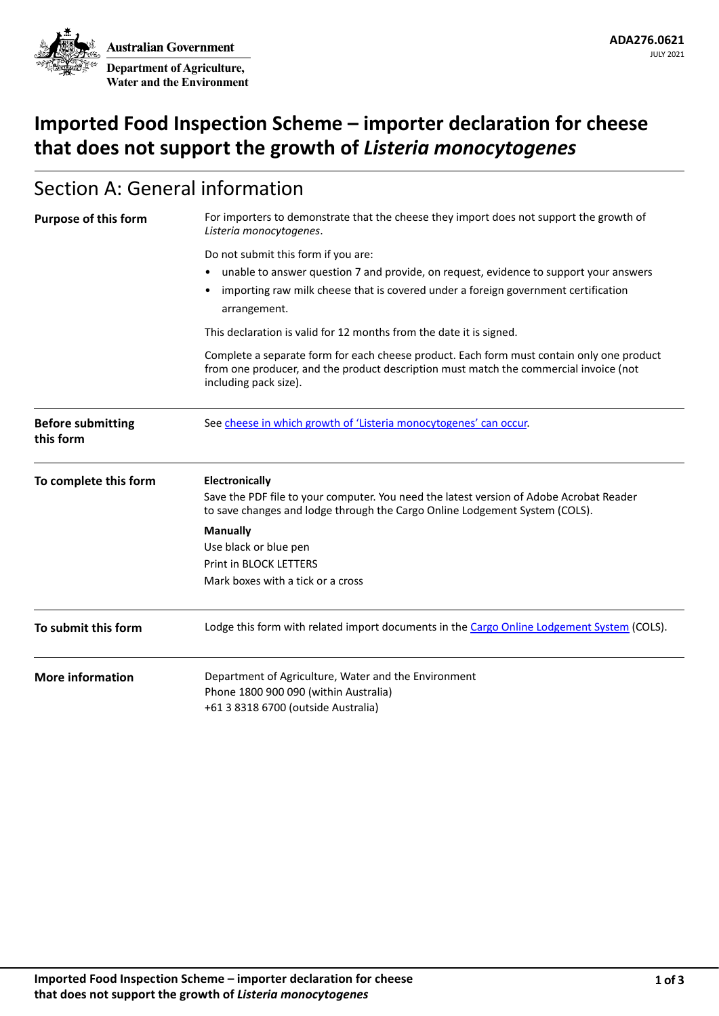**Australian Government Department of Agriculture, Water and the Environment**

# **Imported Food Inspection Scheme – importer declaration for cheese that does not support the growth of** *Listeria monocytogenes*

## Section A: General information

| <b>Purpose of this form</b>           | For importers to demonstrate that the cheese they import does not support the growth of<br>Listeria monocytogenes.                                                                                          |  |  |  |
|---------------------------------------|-------------------------------------------------------------------------------------------------------------------------------------------------------------------------------------------------------------|--|--|--|
|                                       | Do not submit this form if you are:                                                                                                                                                                         |  |  |  |
|                                       | unable to answer question 7 and provide, on request, evidence to support your answers                                                                                                                       |  |  |  |
|                                       | importing raw milk cheese that is covered under a foreign government certification<br>arrangement.                                                                                                          |  |  |  |
|                                       | This declaration is valid for 12 months from the date it is signed.                                                                                                                                         |  |  |  |
|                                       | Complete a separate form for each cheese product. Each form must contain only one product<br>from one producer, and the product description must match the commercial invoice (not<br>including pack size). |  |  |  |
| <b>Before submitting</b><br>this form | See cheese in which growth of 'Listeria monocytogenes' can occur.                                                                                                                                           |  |  |  |
| To complete this form                 | <b>Electronically</b><br>Save the PDF file to your computer. You need the latest version of Adobe Acrobat Reader<br>to save changes and lodge through the Cargo Online Lodgement System (COLS).             |  |  |  |
|                                       | <b>Manually</b>                                                                                                                                                                                             |  |  |  |
|                                       | Use black or blue pen                                                                                                                                                                                       |  |  |  |
|                                       | <b>Print in BLOCK LETTERS</b>                                                                                                                                                                               |  |  |  |
|                                       | Mark boxes with a tick or a cross                                                                                                                                                                           |  |  |  |
| To submit this form                   | Lodge this form with related import documents in the Cargo Online Lodgement System (COLS).                                                                                                                  |  |  |  |
| <b>More information</b>               | Department of Agriculture, Water and the Environment                                                                                                                                                        |  |  |  |
|                                       | Phone 1800 900 090 (within Australia)                                                                                                                                                                       |  |  |  |
|                                       | +61 3 8318 6700 (outside Australia)                                                                                                                                                                         |  |  |  |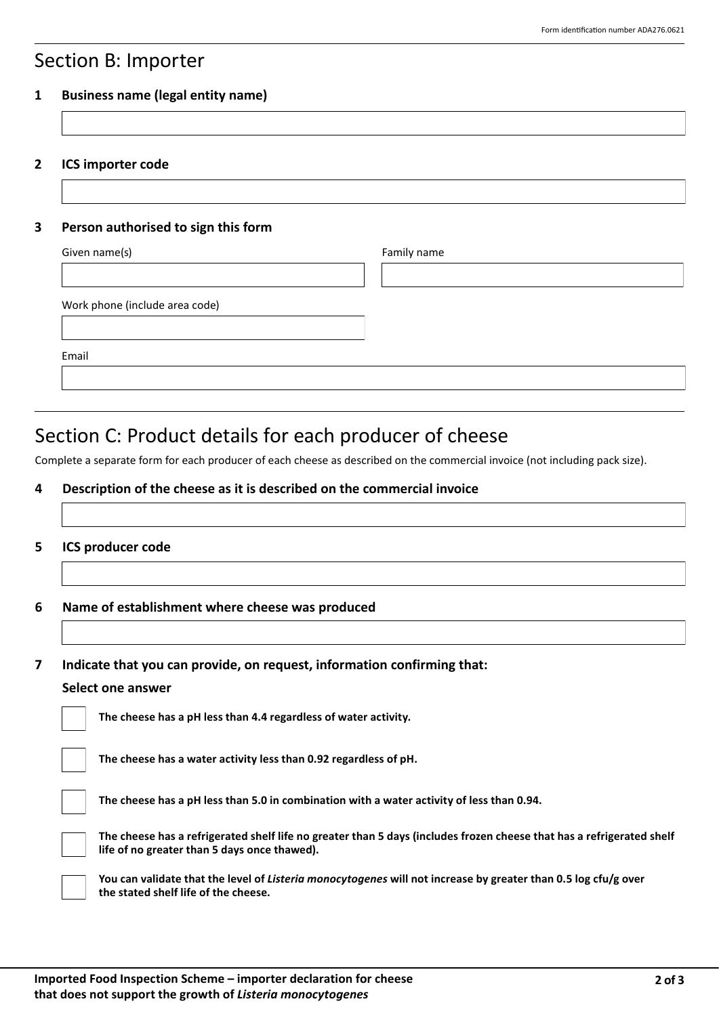### Section B: Importer

#### **1 Business name (legal entity name)**

**2 ICS importer code**

#### **3 Person authorised to sign this form**

| Given name(s)                  | Family name |
|--------------------------------|-------------|
|                                |             |
| Work phone (include area code) |             |
| Email                          |             |
|                                |             |

# Section C: Product details for each producer of cheese

Complete a separate form for each producer of each cheese as described on the commercial invoice (not including pack size).

#### **4 Description of the cheese as it is described on the commercial invoice**

#### **5 ICS producer code**

**6 Name of establishment where cheese was produced**

**7 Indicate that you can provide, on request, information confirming that:**

#### **Select one answer**

**The cheese has a pH less than 4.4 regardless of water activity.**

| The cheese has a water activity less than 0.92 regardless of pH. |  |  |
|------------------------------------------------------------------|--|--|
|                                                                  |  |  |

**The cheese has a pH less than 5.0 in combination with a water activity of less than 0.94.**



**The cheese has a refrigerated shelf life no greater than 5 days (includes frozen cheese that has a refrigerated shelf life of no greater than 5 days once thawed).**

**You can validate that the level of** *Listeria monocytogenes* **will not increase by greater than 0.5 log cfu/g over the stated shelf life of the cheese.**